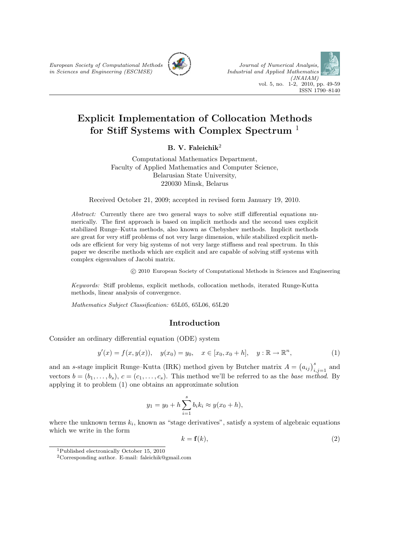European Society of Computational Methods in Sciences and Engineering (ESCMSE)





# Explicit Implementation of Collocation Methods for Stiff Systems with Complex Spectrum <sup>1</sup>

# B. V. Faleichik $^2$

Computational Mathematics Department, Faculty of Applied Mathematics and Computer Science, Belarusian State University, 220030 Minsk, Belarus

Received October 21, 2009; accepted in revised form January 19, 2010.

Abstract: Currently there are two general ways to solve stiff differential equations numerically. The first approach is based on implicit methods and the second uses explicit stabilized Runge–Kutta methods, also known as Chebyshev methods. Implicit methods are great for very stiff problems of not very large dimension, while stabilized explicit methods are efficient for very big systems of not very large stiffness and real spectrum. In this paper we describe methods which are explicit and are capable of solving stiff systems with complex eigenvalues of Jacobi matrix.

c 2010 European Society of Computational Methods in Sciences and Engineering

Keywords: Stiff problems, explicit methods, collocation methods, iterated Runge-Kutta methods, linear analysis of convergence.

Mathematics Subject Classification: 65L05, 65L06, 65L20

# Introduction

Consider an ordinary differential equation (ODE) system

$$
y'(x) = f(x, y(x)),
$$
  $y(x_0) = y_0,$   $x \in [x_0, x_0 + h],$   $y : \mathbb{R} \to \mathbb{R}^n,$  (1)

and an s-stage implicit Runge–Kutta (IRK) method given by Butcher matrix  $A = (a_{ij})_{i,j=1}^s$  and vectors  $b = (b_1, \ldots, b_s), c = (c_1, \ldots, c_s)$ . This method we'll be referred to as the base method. By applying it to problem (1) one obtains an approximate solution

$$
y_1 = y_0 + h \sum_{i=1}^{s} b_i k_i \approx y(x_0 + h),
$$

where the unknown terms  $k_i$ , known as "stage derivatives", satisfy a system of algebraic equations which we write in the form

$$
k = \mathbf{f}(k),\tag{2}
$$

<sup>1</sup>Published electronically October 15, 2010

<sup>&</sup>lt;sup>2</sup>Corresponding author. E-mail: faleichik@gmail.com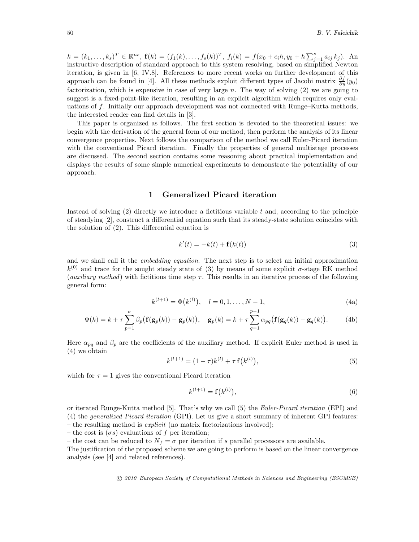$k = (k_1, \ldots, k_s)^T \in \mathbb{R}^{ns}$ ,  $\mathbf{f}(k) = (f_1(k), \ldots, f_s(k))^T$ ,  $f_i(k) = f(x_0 + c_i, y_0 + h \sum_{j=1}^s a_{ij} k_j)$ . An instructive description of standard approach to this system resolving, based on simplified Newton iteration, is given in [6, IV.8]. References to more recent works on further development of this approach can be found in [4]. All these methods exploit different types of Jacobi matrix  $\frac{\partial f}{\partial y}(y_0)$ factorization, which is expensive in case of very large  $n$ . The way of solving  $(2)$  we are going to suggest is a fixed-point-like iteration, resulting in an explicit algorithm which requires only evaluations of f. Initially our approach development was not connected with Runge–Kutta methods, the interested reader can find details in [3].

This paper is organized as follows. The first section is devoted to the theoretical issues: we begin with the derivation of the general form of our method, then perform the analysis of its linear convergence properties. Next follows the comparison of the method we call Euler-Picard iteration with the conventional Picard iteration. Finally the properties of general multistage processes are discussed. The second section contains some reasoning about practical implementation and displays the results of some simple numerical experiments to demonstrate the potentiality of our approach.

## 1 Generalized Picard iteration

Instead of solving  $(2)$  directly we introduce a fictitious variable t and, according to the principle of steadying [2], construct a differential equation such that its steady-state solution coincides with the solution of (2). This differential equation is

$$
k'(t) = -k(t) + \mathbf{f}(k(t))
$$
\n(3)

and we shall call it the *embedding equation*. The next step is to select an initial approximation  $k^{(0)}$  and trace for the sought steady state of (3) by means of some explicit  $\sigma$ -stage RK method (*auxiliary method*) with fictitious time step  $\tau$ . This results in an iterative process of the following general form:

$$
k^{(l+1)} = \Phi(k^{(l)}), \quad l = 0, 1, \dots, N-1,
$$
\n(4a)

$$
\Phi(k) = k + \tau \sum_{p=1}^{\sigma} \beta_p \big( \mathbf{f}(\mathbf{g}_p(k)) - \mathbf{g}_p(k) \big), \quad \mathbf{g}_p(k) = k + \tau \sum_{q=1}^{p-1} \alpha_{pq} \big( \mathbf{f}(\mathbf{g}_q(k)) - \mathbf{g}_q(k) \big).
$$
 (4b)

Here  $\alpha_{pq}$  and  $\beta_p$  are the coefficients of the auxiliary method. If explicit Euler method is used in (4) we obtain

$$
k^{(l+1)} = (1 - \tau)k^{(l)} + \tau \mathbf{f}(k^{(l)}),
$$
\n(5)

which for  $\tau = 1$  gives the conventional Picard iteration

$$
k^{(l+1)} = \mathbf{f}(k^{(l)}),\tag{6}
$$

or iterated Runge-Kutta method [5]. That's why we call (5) the Euler-Picard iteration (EPI) and (4) the generalized Picard iteration (GPI). Let us give a short summary of inherent GPI features: – the resulting method is explicit (no matrix factorizations involved);

– the cost is  $(\sigma s)$  evaluations of f per iteration;

– the cost can be reduced to  $N_f = \sigma$  per iteration if s parallel processors are available.

The justification of the proposed scheme we are going to perform is based on the linear convergence analysis (see [4] and related references).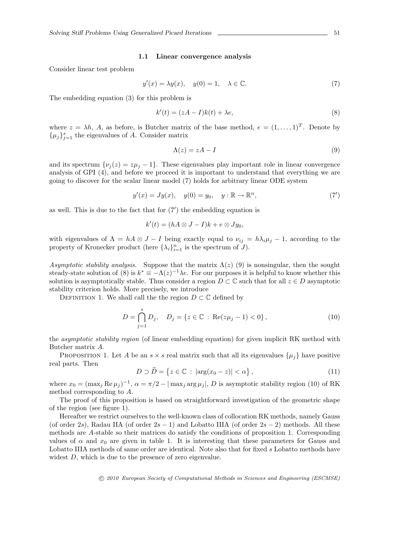#### 1.1 Linear convergence analysis

Consider linear test problem

$$
y'(x) = \lambda y(x), \quad y(0) = 1, \quad \lambda \in \mathbb{C}.\tag{7}
$$

The embedding equation (3) for this problem is

$$
k'(t) = (zA - I)k(t) + \lambda e,\tag{8}
$$

where  $z = \lambda h$ , A, as before, is Butcher matrix of the base method,  $e = (1, \ldots, 1)^T$ . Denote by  $\{\mu_j\}_{j=1}^s$  the eigenvalues of A. Consider matrix

$$
\Lambda(z) = zA - I \tag{9}
$$

and its spectrum  $\{\nu_j(z) = z\mu_j - 1\}$ . These eigenvalues play important role in linear convergence analysis of GPI (4), and before we proceed it is important to understand that everything we are going to discover for the scalar linear model (7) holds for arbitrary linear ODE system

$$
y'(x) = Jy(x), \quad y(0) = y_0, \quad y: \mathbb{R} \to \mathbb{R}^n,
$$
\n
$$
(7')
$$

as well. This is due to the fact that for (7′ ) the embedding equation is

$$
k'(t) = (hA \otimes J - I)k + e \otimes Jy_0,
$$

with eigenvalues of  $\Lambda = hA \otimes J - I$  being exactly equal to  $\nu_{ij} = h\lambda_i\mu_j - 1$ , according to the property of Kronecker product (here  $\{\lambda_i\}_{i=1}^n$  is the spectrum of  $J$ ).

Asymptotic stability analysis. Suppose that the matrix  $\Lambda(z)$  (9) is nonsingular, then the sought steady-state solution of (8) is  $k^* \equiv -\Lambda(z)^{-1}\lambda e$ . For our purposes it is helpful to know whether this solution is asymptotically stable. Thus consider a region  $D \subset \mathbb{C}$  such that for all  $z \in D$  asymptotic stability criterion holds. More precisely, we introduce

DEFINITION 1. We shall call the the region  $D \subset \mathbb{C}$  defined by

$$
D = \bigcap_{j=1}^{s} D_j, \quad D_j = \{ z \in \mathbb{C} : \text{Re}(z\mu_j - 1) < 0 \},\tag{10}
$$

the asymptotic stability region (of linear embedding equation) for given implicit RK method with Butcher matrix A.

PROPOSITION 1. Let A be an  $s \times s$  real matrix such that all its eigenvalues  $\{\mu_j\}$  have positive real parts. Then

$$
D \supset \widetilde{D} = \{ z \in \mathbb{C} : |\arg(x_0 - z)| < \alpha \},\tag{11}
$$

where  $x_0 = (\max_j \text{Re }\mu_j)^{-1}$ ,  $\alpha = \pi/2 - |\max_j \text{arg }\mu_j|$ , D is asymptotic stability region (10) of RK method corresponding to A.

The proof of this proposition is based on straightforward investigation of the geometric shape of the region (see figure 1).

Hereafter we restrict ourselves to the well-known class of collocation RK methods, namely Gauss (of order 2s), Radau IIA (of order  $2s - 1$ ) and Lobatto IIIA (of order  $2s - 2$ ) methods. All these methods are A-stable so their matrices do satisfy the conditions of proposition 1. Corresponding values of  $\alpha$  and  $x_0$  are given in table 1. It is interesting that these parameters for Gauss and Lobatto IIIA methods of same order are identical. Note also that for fixed s Lobatto methods have widest D, which is due to the presence of zero eigenvalue.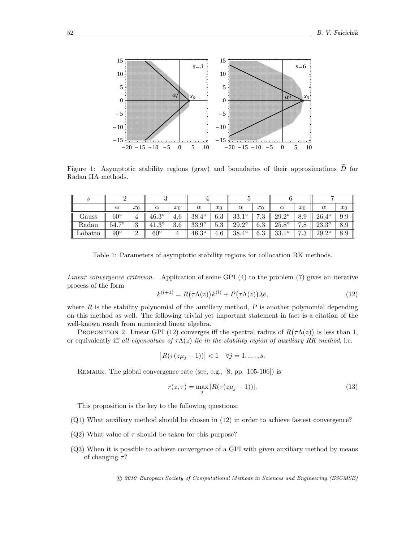

Figure 1: Asymptotic stability regions (gray) and boundaries of their approximations  $\tilde{D}$  for Radau IIA methods.

| S       |              |               |                     |       |              |       |              |                           |                |                                 |              |       |
|---------|--------------|---------------|---------------------|-------|--------------|-------|--------------|---------------------------|----------------|---------------------------------|--------------|-------|
|         | $\alpha$     | $x_0$         | $\alpha$            | $x_0$ | $\alpha$     | $x_0$ | $\alpha$     | $x_0$                     | $\alpha$       | $x_0$                           | $\alpha$     | $x_0$ |
| Gauss   | $60^{\circ}$ | 4             | $46.3^\circ$        | 4.6   | $38.4^\circ$ | 6.3   | 33.1<br>10   | $\overline{ }$<br>ാ<br>.ں | $29.2^\circ$   | 8.9                             | $26.4^\circ$ | 9.9   |
| Radau   | 70<br>54.7   | $\Omega$<br>ບ | $2^{\circ}$<br>41.3 | 3.6   | $33.9^\circ$ | 5.5   | $29.2^\circ$ | 6.3                       | $25.8^\circ$   | $\overline{ }$<br>$\cdot \circ$ | $23.3^\circ$ | 8.9   |
| Lobatto | $90^{\circ}$ | $\Omega$<br>∠ | $60^\circ$          | 4     | $46.3^\circ$ | 4.6   | $38.4^\circ$ | 6.3                       | 9910<br>OO . T | $\overline{ }$<br>ാ<br>ن.       | $29.2^\circ$ | 8.9   |

Table 1: Parameters of asymptotic stability regions for collocation RK methods.

Linear convergence criterion. Application of some GPI (4) to the problem (7) gives an iterative process of the form

$$
k^{(l+1)} = R(\tau \Lambda(z))k^{(l)} + P(\tau \Lambda(z))\lambda e,
$$
\n(12)

where  $R$  is the stability polynomial of the auxiliary method,  $P$  is another polynomial depending on this method as well. The following trivial yet important statement in fact is a citation of the well-known result from numerical linear algebra.

PROPOSITION 2. Linear GPI (12) converges iff the spectral radius of  $R(\tau \Lambda(z))$  is less than 1, or equivalently iff all eigenvalues of  $\tau \Lambda(z)$  lie in the stability region of auxiliary RK method, i.e.

$$
|R(\tau(z\mu_j-1))|<1 \quad \forall j=1,\ldots,s.
$$

Remark. The global convergence rate (see, e.g., [8, pp. 105-106]) is

$$
r(z,\tau) = \max_{j} |R(\tau(z\mu_j - 1))|.
$$
\n(13)

This proposition is the key to the following questions:

- (Q1) What auxiliary method should be chosen in (12) in order to achieve fastest convergence?
- (Q2) What value of  $\tau$  should be taken for this purpose?
- (Q3) When it is possible to achieve convergence of a GPI with given auxiliary method by means of changing  $\tau$ ?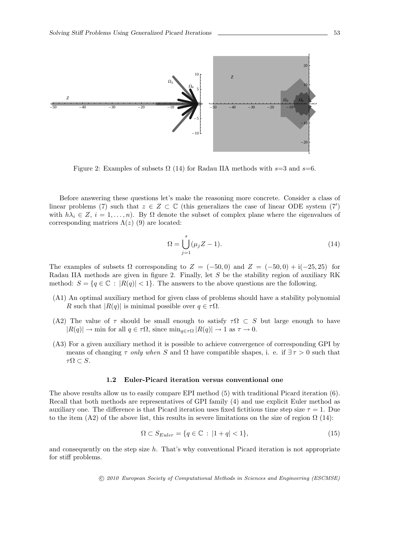

Figure 2: Examples of subsets  $\Omega$  (14) for Radau IIA methods with s=3 and s=6.

Before answering these questions let's make the reasoning more concrete. Consider a class of linear problems (7) such that  $z \in Z \subset \mathbb{C}$  (this generalizes the case of linear ODE system (7') with  $h\lambda_i \in Z$ ,  $i = 1, \ldots, n$ . By  $\Omega$  denote the subset of complex plane where the eigenvalues of corresponding matrices  $\Lambda(z)$  (9) are located:

$$
\Omega = \bigcup_{j=1}^{s} (\mu_j Z - 1). \tag{14}
$$

The examples of subsets  $\Omega$  corresponding to  $Z = (-50, 0)$  and  $Z = (-50, 0) + i(-25, 25)$  for Radau IIA methods are given in figure 2. Finally, let  $S$  be the stability region of auxiliary RK method:  $S = \{q \in \mathbb{C} : |R(q)| < 1\}$ . The answers to the above questions are the following.

- (A1) An optimal auxiliary method for given class of problems should have a stability polynomial R such that  $|R(q)|$  is minimal possible over  $q \in \tau\Omega$ .
- (A2) The value of  $\tau$  should be small enough to satisfy  $\tau\Omega \subset S$  but large enough to have  $|R(q)| \to \text{min}$  for all  $q \in \tau\Omega$ , since  $\min_{q \in \tau\Omega} |R(q)| \to 1$  as  $\tau \to 0$ .
- (A3) For a given auxiliary method it is possible to achieve convergence of corresponding GPI by means of changing  $\tau$  only when S and  $\Omega$  have compatible shapes, i. e. if  $\exists \tau > 0$  such that  $\tau\Omega \subset S.$

#### 1.2 Euler-Picard iteration versus conventional one

The above results allow us to easily compare EPI method (5) with traditional Picard iteration (6). Recall that both methods are representatives of GPI family (4) and use explicit Euler method as auxiliary one. The difference is that Picard iteration uses fixed fictitious time step size  $\tau = 1$ . Due to the item (A2) of the above list, this results in severe limitations on the size of region  $\Omega$  (14):

$$
\Omega \subset S_{Euler} = \{ q \in \mathbb{C} : |1 + q| < 1 \},\tag{15}
$$

and consequently on the step size  $h$ . That's why conventional Picard iteration is not appropriate for stiff problems.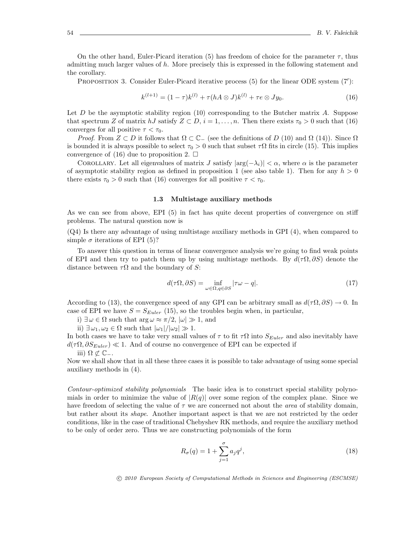On the other hand, Euler-Picard iteration (5) has freedom of choice for the parameter  $\tau$ , thus admitting much larger values of  $h$ . More precisely this is expressed in the following statement and the corollary.

PROPOSITION 3. Consider Euler-Picard iterative process (5) for the linear ODE system (7'):

$$
k^{(l+1)} = (1 - \tau)k^{(l)} + \tau(hA \otimes J)k^{(l)} + \tau e \otimes Jy_0.
$$
 (16)

Let  $D$  be the asymptotic stability region (10) corresponding to the Butcher matrix  $A$ . Suppose that spectrum Z of matrix  $hJ$  satisfy  $Z \subset D$ ,  $i = 1, ..., n$ . Then there exists  $\tau_0 > 0$  such that (16) converges for all positive  $\tau < \tau_0$ .

*Proof.* From  $Z \subset D$  it follows that  $\Omega \subset \mathbb{C}^-$  (see the definitions of D (10) and  $\Omega$  (14)). Since  $\Omega$ is bounded it is always possible to select  $\tau_0 > 0$  such that subset  $\tau \Omega$  fits in circle (15). This implies convergence of (16) due to proposition 2.  $\Box$ 

COROLLARY. Let all eigenvalues of matrix J satisfy  $|\arg(-\lambda_i)| < \alpha$ , where  $\alpha$  is the parameter of asymptotic stability region as defined in proposition 1 (see also table 1). Then for any  $h > 0$ there exists  $\tau_0 > 0$  such that (16) converges for all positive  $\tau < \tau_0$ .

## 1.3 Multistage auxiliary methods

As we can see from above, EPI  $(5)$  in fact has quite decent properties of convergence on stiff problems. The natural question now is

(Q4) Is there any advantage of using multistage auxiliary methods in GPI (4), when compared to simple  $\sigma$  iterations of EPI (5)?

To answer this question in terms of linear convergence analysis we're going to find weak points of EPI and then try to patch them up by using multistage methods. By  $d(\tau \Omega, \partial S)$  denote the distance between  $\tau\Omega$  and the boundary of S:

$$
d(\tau \Omega, \partial S) = \inf_{\omega \in \Omega, q \in \partial S} |\tau \omega - q|.
$$
 (17)

According to (13), the convergence speed of any GPI can be arbitrary small as  $d(\tau \Omega, \partial S) \to 0$ . In case of EPI we have  $S = S_{Euler}$  (15), so the troubles begin when, in particular,

i)  $\exists \omega \in \Omega$  such that  $\arg \omega \approx \pi/2$ ,  $|\omega| \gg 1$ , and

ii)  $\exists \omega_1, \omega_2 \in \Omega$  such that  $|\omega_1|/|\omega_2| \gg 1$ .

In both cases we have to take very small values of  $\tau$  to fit  $\tau\Omega$  into  $S_{Euler}$  and also inevitably have  $d(\tau \Omega, \partial S_{Euler}) \ll 1$ . And of course no convergence of EPI can be expected if

iii)  $\Omega \not\subset \mathbb{C}_-$ .

Now we shall show that in all these three cases it is possible to take advantage of using some special auxiliary methods in (4).

Contour-optimized stability polynomials The basic idea is to construct special stability polynomials in order to minimize the value of  $|R(q)|$  over some region of the complex plane. Since we have freedom of selecting the value of  $\tau$  we are concerned not about the *area* of stability domain, but rather about its shape. Another important aspect is that we are not restricted by the order conditions, like in the case of traditional Chebyshev RK methods, and require the auxiliary method to be only of order zero. Thus we are constructing polynomials of the form

$$
R_{\sigma}(q) = 1 + \sum_{j=1}^{\sigma} a_j q^j,
$$
\n(18)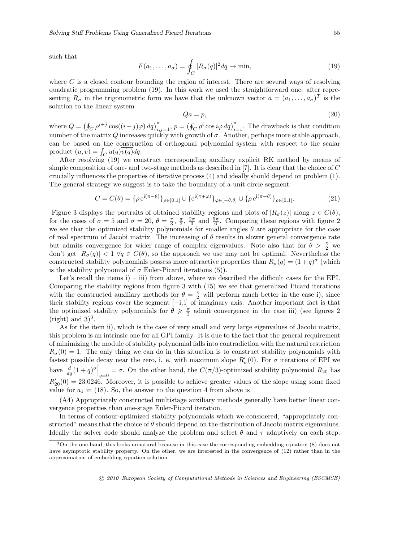such that

$$
F(a_1, \dots, a_{\sigma}) = \oint_C |R_{\sigma}(q)|^2 dq \to \min,
$$
\n(19)

where  $C$  is a closed contour bounding the region of interest. There are several ways of resolving quadratic programming problem (19). In this work we used the straightforward one: after representing  $R_{\sigma}$  in the trigonometric form we have that the unknown vector  $a = (a_1, \ldots, a_{\sigma})^T$  is the solution to the linear system

$$
Qa = p,\tag{20}
$$

where  $Q = (\oint_C \rho^{i+j} \cos((i-j)\varphi) dq)_{i,j=1}^{\sigma}$ ,  $p = (\oint_C \rho^i \cos i\varphi dq)_{i=1}^{\sigma}$ . The drawback is that condition number of the matrix  $Q$  increases quickly with growth of  $\sigma$ . Another, perhaps more stable approach, can be based on the construction of orthogonal polynomial system with respect to the scalar product  $(u, v) = \oint_C u(q) \overline{v(q)} dq$ .

After resolving (19) we construct corresponding auxiliary explicit RK method by means of simple composition of one- and two-stage methods as described in  $[7]$ . It is clear that the choice of C crucially influences the properties of iterative process (4) and ideally should depend on problem (1). The general strategy we suggest is to take the boundary of a unit circle segment:

$$
C = C(\theta) = {\rho e^{i(\pi - \theta)}}_{\rho \in [0,1]} \cup {e^{i(\pi + \varphi)}}_{\varphi \in [-\theta, \theta]} \cup {\rho e^{i(\pi + \theta)}}_{\rho \in [0,1]}.
$$
 (21)

Figure 3 displays the portraits of obtained stability regions and plots of  $|R_{\sigma}(z)|$  along  $z \in C(\theta)$ , for the cases of  $\sigma = 5$  and  $\sigma = 20$ ,  $\theta = \frac{\pi}{3}$ ,  $\frac{\pi}{2}$ ,  $\frac{2\pi}{3}$  and  $\frac{5\pi}{6}$ . Comparing these regions with figure 2 we see that the optimized stability polynomials for smaller angles  $\theta$  are appropriate for the case of real spectrum of Jacobi matrix. The increasing of  $\theta$  results in slower general convergence rate but admits convergence for wider range of complex eigenvalues. Note also that for  $\theta > \frac{\pi}{2}$  we don't get  $|R_{\sigma}(q)| < 1 \ \forall q \in C(\theta)$ , so the approach we use may not be optimal. Nevertheless the constructed stability polynomials possess more attractive properties than  $R_{\sigma}(q) = (1+q)^{\sigma}$  (which is the stability polynomial of  $\sigma$  Euler-Picard iterations (5)).

Let's recall the items  $i$ ) – iii) from above, where we described the difficult cases for the EPI. Comparing the stability regions from figure 3 with (15) we see that generalized Picard iterations with the constructed auxiliary methods for  $\theta = \frac{\pi}{2}$  will perform much better in the case i), since their stability regions cover the segment [−i, i] of imaginary axis. Another important fact is that the optimized stability polynomials for  $\theta \geq \frac{\pi}{2}$  admit convergence in the case iii) (see figures 2  $(right)$  and  $3)^3$ .

As for the item ii), which is the case of very small and very large eigenvalues of Jacobi matrix, this problem is an intrinsic one for all GPI family. It is due to the fact that the general requirement of minimizing the module of stability polynomial falls into contradiction with the natural restriction  $R_{\sigma}(0) = 1$ . The only thing we can do in this situation is to construct stability polynomials with fastest possible decay near the zero, i. e. with maximum slope  $R'_{\sigma}(0)$ . For  $\sigma$  iterations of EPI we have  $\frac{d}{dq}(1+q)^{\sigma}\Big|_{q=0} = \sigma$ . On the other hand, the  $C(\pi/3)$ -optimized stability polynomial  $R_{20}$  has  $R'_{20}(0) = 23.0246$ . Moreover, it is possible to achieve greater values of the slope using some fixed value for  $a_1$  in (18). So, the answer to the question 4 from above is

(A4) Appropriately constructed multistage auxiliary methods generally have better linear convergence properties than one-stage Euler-Picard iteration.

In terms of contour-optimized stability polynomials which we considered, "appropriately constructed" means that the choice of  $\theta$  should depend on the distribution of Jacobi matrix eigenvalues. Ideally the solver code should analyze the problem and select  $\theta$  and  $\tau$  adaptively on each step.

<sup>&</sup>lt;sup>3</sup>On the one hand, this looks unnatural because in this case the corresponding embedding equation (8) does not have asymptotic stability property. On the other, we are interested in the convergence of (12) rather than in the approximation of embedding equation solution.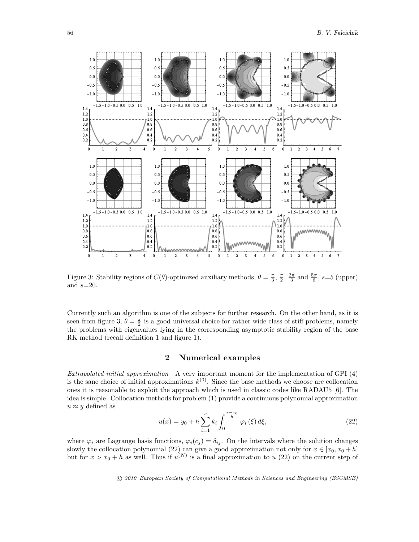

Figure 3: Stability regions of  $C(\theta)$ -optimized auxiliary methods,  $\theta = \frac{\pi}{3}, \frac{\pi}{2}, \frac{2\pi}{3}$  and  $\frac{5\pi}{6}, s=5$  (upper) and  $s=20$ .

Currently such an algorithm is one of the subjects for further research. On the other hand, as it is seen from figure 3,  $\theta = \frac{\pi}{2}$  is a good universal choice for rather wide class of stiff problems, namely the problems with eigenvalues lying in the corresponding asymptotic stability region of the base RK method (recall definition 1 and figure 1).

# 2 Numerical examples

Extrapolated initial approximation A very important moment for the implementation of GPI (4) is the sane choice of initial approximations  $k^{(0)}$ . Since the base methods we choose are collocation ones it is reasonable to exploit the approach which is used in classic codes like RADAU5 [6]. The idea is simple. Collocation methods for problem (1) provide a continuous polynomial approximation  $u \approx y$  defined as

$$
u(x) = y_0 + h \sum_{i=1}^{s} k_i \int_0^{\frac{x - x_0}{h}} \varphi_i(\xi) d\xi,
$$
 (22)

where  $\varphi_i$  are Lagrange basis functions,  $\varphi_i(c_j) = \delta_{ij}$ . On the intervals where the solution changes slowly the collocation polynomial (22) can give a good approximation not only for  $x \in [x_0, x_0 + h]$ but for  $x > x_0 + h$  as well. Thus if  $u^{(N)}$  is a final approximation to u (22) on the current step of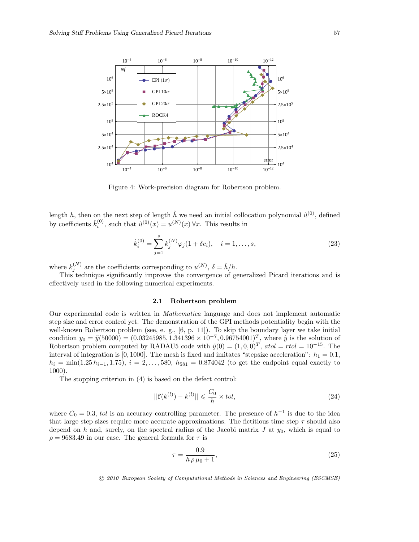

Figure 4: Work-precision diagram for Robertson problem.

length h, then on the next step of length  $\hat{h}$  we need an initial collocation polynomial  $\hat{u}^{(0)}$ , defined by coefficients  $\hat{k}_i^{(0)}$ , such that  $\hat{u}^{(0)}(x) = u^{(N)}(x) \,\forall x$ . This results in

$$
\hat{k}_i^{(0)} = \sum_{j=1}^s k_j^{(N)} \varphi_j (1 + \delta c_i), \quad i = 1, \dots, s,
$$
\n(23)

where  $k_j^{(N)}$  are the coefficients corresponding to  $u^{(N)}$ ,  $\delta = \hat{h}/h$ .

This technique significantly improves the convergence of generalized Picard iterations and is effectively used in the following numerical experiments.

### 2.1 Robertson problem

Our experimental code is written in Mathematica language and does not implement automatic step size and error control yet. The demonstration of the GPI methods potentiality begin with the well-known Robertson problem (see, e. g., [6, p. 11]). To skip the boundary layer we take initial condition  $y_0 = \tilde{y}(50000) = (0.03245985, 1.341396 \times 10^{-7}, 0.96754001)^T$ , where  $\tilde{y}$  is the solution of Robertson problem computed by RADAU5 code with  $\tilde{y}(0) = (1, 0, 0)^T$ ,  $atol = rtol = 10^{-15}$ . The interval of integration is [0, 1000]. The mesh is fixed and imitates "stepsize acceleration":  $h_1 = 0.1$ ,  $h_i = \min(1.25 h_{i-1}, 1.75), i = 2, \ldots, 580, h_{581} = 0.874042$  (to get the endpoint equal exactly to 1000).

The stopping criterion in (4) is based on the defect control:

$$
||\mathbf{f}(k^{(l)}) - k^{(l)}|| \leqslant \frac{C_0}{h} \times tol,
$$
\n<sup>(24)</sup>

where  $C_0 = 0.3$ , tol is an accuracy controlling parameter. The presence of  $h^{-1}$  is due to the idea that large step sizes require more accurate approximations. The fictitious time step  $\tau$  should also depend on h and, surely, on the spectral radius of the Jacobi matrix J at  $y_0$ , which is equal to  $\rho = 9683.49$  in our case. The general formula for  $\tau$  is

$$
\tau = \frac{0.9}{h \, \rho \, \mu_0 + 1},\tag{25}
$$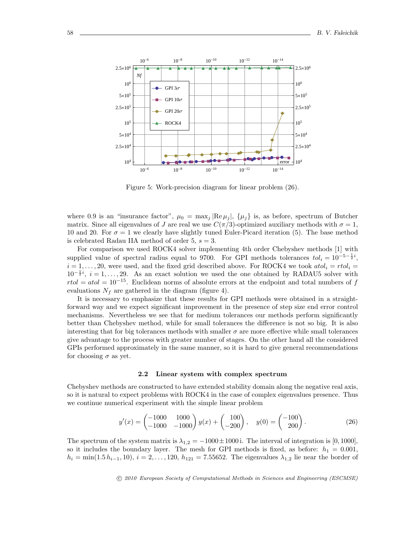

Figure 5: Work-precision diagram for linear problem (26).

where 0.9 is an "insurance factor",  $\mu_0 = \max_j |\text{Re }\mu_j|, \{\mu_j\}$  is, as before, spectrum of Butcher matrix. Since all eigenvalues of J are real we use  $C(\pi/3)$ -optimized auxiliary methods with  $\sigma = 1$ , 10 and 20. For  $\sigma = 1$  we clearly have slightly tuned Euler-Picard iteration (5). The base method is celebrated Radau IIA method of order 5,  $s = 3$ .

For comparison we used ROCK4 solver implementing 4th order Chebyshev methods [1] with supplied value of spectral radius equal to 9700. For GPI methods tolerances  $tol_i = 10^{-5-\frac{1}{2}i}$ ,  $i = 1, \ldots, 20$ , were used, and the fixed grid described above. For ROCK4 we took  $atol_i = rtol_i =$  $10^{-\frac{1}{2}i}$ ,  $i=1,\ldots,29$ . As an exact solution we used the one obtained by RADAU5 solver with  $rtol = atol = 10^{-15}$ . Euclidean norms of absolute errors at the endpoint and total numbers of f evaluations  $N_f$  are gathered in the diagram (figure 4).

It is necessary to emphasize that these results for GPI methods were obtained in a straightforward way and we expect significant improvement in the presence of step size end error control mechanisms. Nevertheless we see that for medium tolerances our methods perform significantly better than Chebyshev method, while for small tolerances the difference is not so big. It is also interesting that for big tolerances methods with smaller  $\sigma$  are more effective while small tolerances give advantage to the process with greater number of stages. On the other hand all the considered GPIs performed approximately in the same manner, so it is hard to give general recommendations for choosing  $\sigma$  as yet.

#### 2.2 Linear system with complex spectrum

Chebyshev methods are constructed to have extended stability domain along the negative real axis, so it is natural to expect problems with ROCK4 in the case of complex eigenvalues presence. Thus we continue numerical experiment with the simple linear problem

$$
y'(x) = \begin{pmatrix} -1000 & 1000 \\ -1000 & -1000 \end{pmatrix} y(x) + \begin{pmatrix} 100 \\ -200 \end{pmatrix}, \quad y(0) = \begin{pmatrix} -100 \\ 200 \end{pmatrix}.
$$
 (26)

The spectrum of the system matrix is  $\lambda_{1,2} = -1000 \pm 1000$  i. The interval of integration is [0, 1000], so it includes the boundary layer. The mesh for GPI methods is fixed, as before:  $h_1 = 0.001$ ,  $h_i = \min(1.5 h_{i-1}, 10), i = 2, \ldots, 120, h_{121} = 7.55652$ . The eigenvalues  $\lambda_{1,2}$  lie near the border of